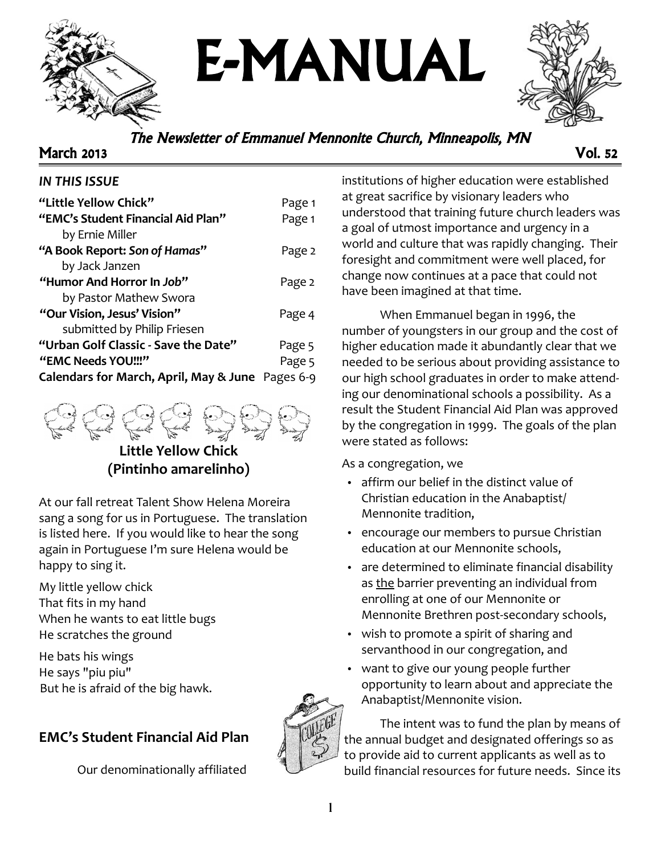

E-MANUAL



### The Newsletter of Emmanuel Mennonite Church, Minneapolis, MN

March 2013 Vol. 52

#### *IN THIS ISSUE*

| "Little Yellow Chick"                            | Page 1 |
|--------------------------------------------------|--------|
| "EMC's Student Financial Aid Plan"               | Page 1 |
| by Ernie Miller                                  |        |
| "A Book Report: Son of Hamas"                    | Page 2 |
| by Jack Janzen                                   |        |
| "Humor And Horror In Job"                        | Page 2 |
| by Pastor Mathew Swora                           |        |
| "Our Vision, Jesus' Vision"                      | Page 4 |
| submitted by Philip Friesen                      |        |
| "Urban Golf Classic - Save the Date"             | Page 5 |
| "EMC Needs YOU!!!"                               | Page 5 |
| Calendars for March, April, May & June Pages 6-9 |        |



**Little Yellow Chick (Pintinho amarelinho)**

At our fall retreat Talent Show Helena Moreira sang a song for us in Portuguese. The translation is listed here. If you would like to hear the song again in Portuguese I'm sure Helena would be happy to sing it.

My little yellow chick That fits in my hand When he wants to eat little bugs He scratches the ground

He bats his wings He says "piu piu" But he is afraid of the big hawk.

### **EMC's Student Financial Aid Plan**

Our denominationally affiliated

institutions of higher education were established at great sacrifice by visionary leaders who understood that training future church leaders was a goal of utmost importance and urgency in a world and culture that was rapidly changing. Their foresight and commitment were well placed, for change now continues at a pace that could not have been imagined at that time.

When Emmanuel began in 1996, the number of youngsters in our group and the cost of higher education made it abundantly clear that we needed to be serious about providing assistance to our high school graduates in order to make attending our denominational schools a possibility. As a result the Student Financial Aid Plan was approved by the congregation in 1999. The goals of the plan were stated as follows:

As a congregation, we

- affirm our belief in the distinct value of Christian education in the Anabaptist/ Mennonite tradition,
- encourage our members to pursue Christian education at our Mennonite schools,
- are determined to eliminate financial disability as the barrier preventing an individual from enrolling at one of our Mennonite or Mennonite Brethren post-secondary schools,
- wish to promote a spirit of sharing and servanthood in our congregation, and
- want to give our young people further opportunity to learn about and appreciate the Anabaptist/Mennonite vision.



The intent was to fund the plan by means of the annual budget and designated offerings so as to provide aid to current applicants as well as to build financial resources for future needs. Since its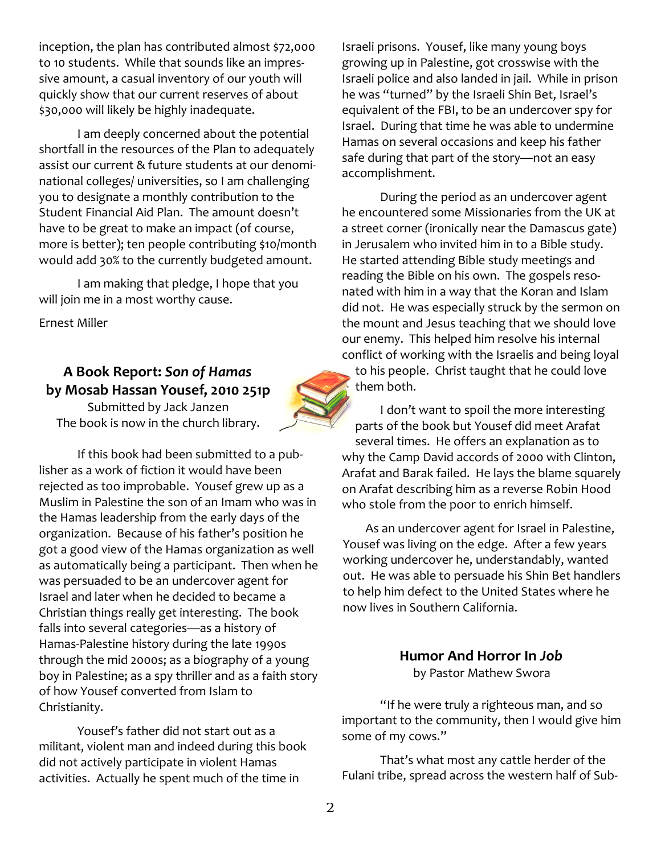inception, the plan has contributed almost \$72,000 to 10 students. While that sounds like an impressive amount, a casual inventory of our youth will quickly show that our current reserves of about \$30,000 will likely be highly inadequate.

I am deeply concerned about the potential shortfall in the resources of the Plan to adequately assist our current & future students at our denominational colleges/ universities, so I am challenging you to designate a monthly contribution to the Student Financial Aid Plan. The amount doesn't have to be great to make an impact (of course, more is better); ten people contributing \$10/month would add 30% to the currently budgeted amount.

I am making that pledge, I hope that you will join me in a most worthy cause.

Ernest Miller

## **A Book Report:** *Son of Hamas* **by Mosab Hassan Yousef, 2010 251p**

Submitted by Jack Janzen The book is now in the church library.

If this book had been submitted to a publisher as a work of fiction it would have been rejected as too improbable. Yousef grew up as a Muslim in Palestine the son of an Imam who was in the Hamas leadership from the early days of the organization. Because of his father's position he got a good view of the Hamas organization as well as automatically being a participant. Then when he was persuaded to be an undercover agent for Israel and later when he decided to became a Christian things really get interesting. The book falls into several categories—as a history of Hamas-Palestine history during the late 1990s through the mid 2000s; as a biography of a young boy in Palestine; as a spy thriller and as a faith story of how Yousef converted from Islam to Christianity.

Yousef's father did not start out as a militant, violent man and indeed during this book did not actively participate in violent Hamas activities. Actually he spent much of the time in



Israeli prisons. Yousef, like many young boys growing up in Palestine, got crosswise with the Israeli police and also landed in jail. While in prison he was "turned" by the Israeli Shin Bet, Israel's equivalent of the FBI, to be an undercover spy for Israel. During that time he was able to undermine Hamas on several occasions and keep his father safe during that part of the story—not an easy accomplishment.

During the period as an undercover agent he encountered some Missionaries from the UK at a street corner (ironically near the Damascus gate) in Jerusalem who invited him in to a Bible study. He started attending Bible study meetings and reading the Bible on his own. The gospels resonated with him in a way that the Koran and Islam did not. He was especially struck by the sermon on the mount and Jesus teaching that we should love our enemy. This helped him resolve his internal conflict of working with the Israelis and being loyal to his people. Christ taught that he could love them both.

I don't want to spoil the more interesting parts of the book but Yousef did meet Arafat several times. He offers an explanation as to why the Camp David accords of 2000 with Clinton, Arafat and Barak failed. He lays the blame squarely on Arafat describing him as a reverse Robin Hood who stole from the poor to enrich himself.

As an undercover agent for Israel in Palestine, Yousef was living on the edge. After a few years working undercover he, understandably, wanted out. He was able to persuade his Shin Bet handlers to help him defect to the United States where he now lives in Southern California.

## **Humor And Horror In** *Job*

by Pastor Mathew Swora

"If he were truly a righteous man, and so important to the community, then I would give him some of my cows."

That's what most any cattle herder of the Fulani tribe, spread across the western half of Sub-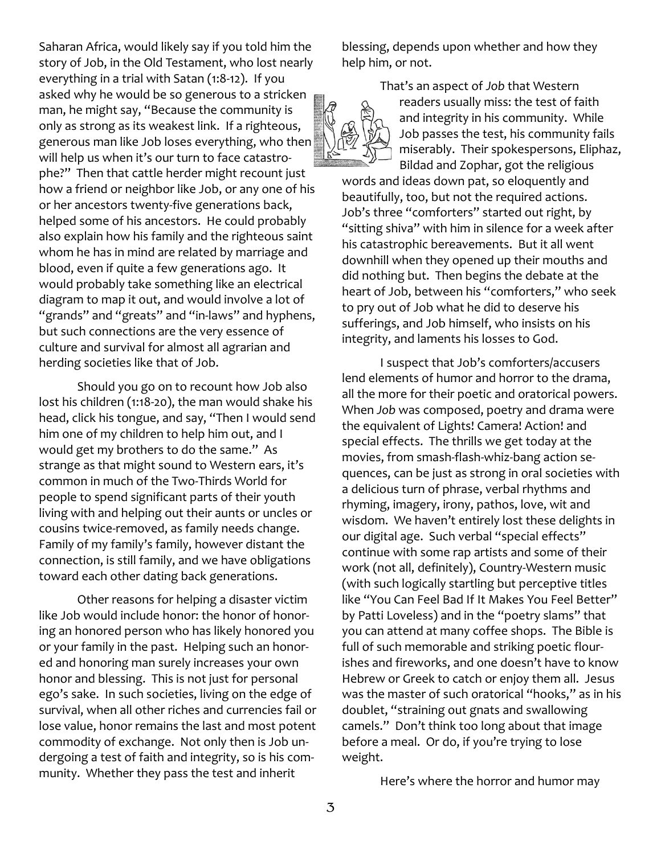Saharan Africa, would likely say if you told him the story of Job, in the Old Testament, who lost nearly everything in a trial with Satan (1:8-12). If you asked why he would be so generous to a stricken man, he might say, "Because the community is only as strong as its weakest link. If a righteous, generous man like Job loses everything, who then will help us when it's our turn to face catastrophe?" Then that cattle herder might recount just how a friend or neighbor like Job, or any one of his or her ancestors twenty-five generations back, helped some of his ancestors. He could probably also explain how his family and the righteous saint whom he has in mind are related by marriage and blood, even if quite a few generations ago. It would probably take something like an electrical diagram to map it out, and would involve a lot of "grands" and "greats" and "in-laws" and hyphens, but such connections are the very essence of culture and survival for almost all agrarian and herding societies like that of Job.

Should you go on to recount how Job also lost his children (1:18-20), the man would shake his head, click his tongue, and say, "Then I would send him one of my children to help him out, and I would get my brothers to do the same." As strange as that might sound to Western ears, it's common in much of the Two-Thirds World for people to spend significant parts of their youth living with and helping out their aunts or uncles or cousins twice-removed, as family needs change. Family of my family's family, however distant the connection, is still family, and we have obligations toward each other dating back generations.

Other reasons for helping a disaster victim like Job would include honor: the honor of honoring an honored person who has likely honored you or your family in the past. Helping such an honored and honoring man surely increases your own honor and blessing. This is not just for personal ego's sake. In such societies, living on the edge of survival, when all other riches and currencies fail or lose value, honor remains the last and most potent commodity of exchange. Not only then is Job undergoing a test of faith and integrity, so is his community. Whether they pass the test and inherit

blessing, depends upon whether and how they help him, or not.

> That's an aspect of *Job* that Western readers usually miss: the test of faith and integrity in his community. While Job passes the test, his community fails miserably. Their spokespersons, Eliphaz, Bildad and Zophar, got the religious

words and ideas down pat, so eloquently and beautifully, too, but not the required actions. Job's three "comforters" started out right, by "sitting shiva" with him in silence for a week after his catastrophic bereavements. But it all went downhill when they opened up their mouths and did nothing but. Then begins the debate at the heart of Job, between his "comforters," who seek to pry out of Job what he did to deserve his sufferings, and Job himself, who insists on his integrity, and laments his losses to God.

I suspect that Job's comforters/accusers lend elements of humor and horror to the drama, all the more for their poetic and oratorical powers. When *Job* was composed, poetry and drama were the equivalent of Lights! Camera! Action! and special effects. The thrills we get today at the movies, from smash-flash-whiz-bang action sequences, can be just as strong in oral societies with a delicious turn of phrase, verbal rhythms and rhyming, imagery, irony, pathos, love, wit and wisdom. We haven't entirely lost these delights in our digital age. Such verbal "special effects" continue with some rap artists and some of their work (not all, definitely), Country-Western music (with such logically startling but perceptive titles like "You Can Feel Bad If It Makes You Feel Better" by Patti Loveless) and in the "poetry slams" that you can attend at many coffee shops. The Bible is full of such memorable and striking poetic flourishes and fireworks, and one doesn't have to know Hebrew or Greek to catch or enjoy them all. Jesus was the master of such oratorical "hooks," as in his doublet, "straining out gnats and swallowing camels." Don't think too long about that image before a meal. Or do, if you're trying to lose weight.

Here's where the horror and humor may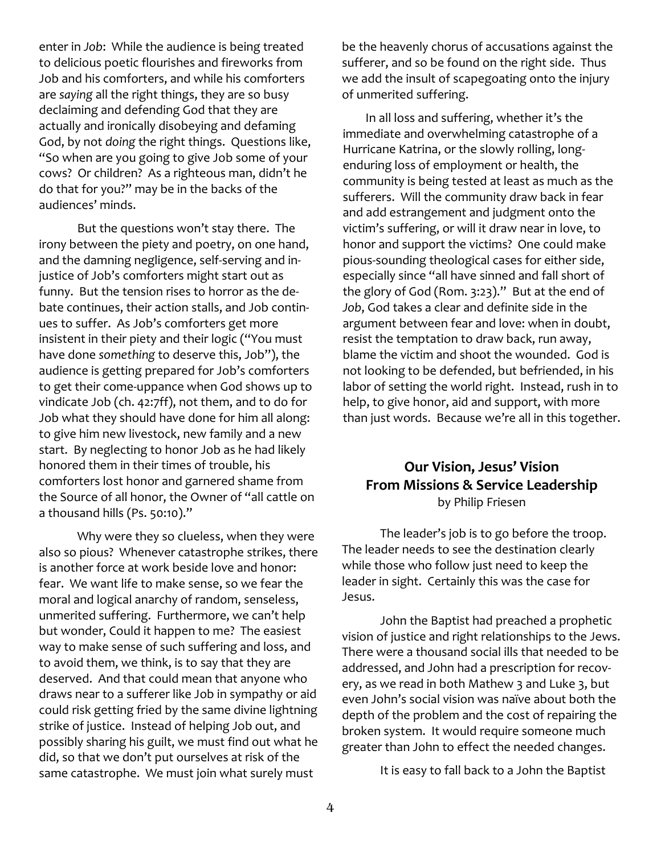enter in *Job*: While the audience is being treated to delicious poetic flourishes and fireworks from Job and his comforters, and while his comforters are *saying* all the right things, they are so busy declaiming and defending God that they are actually and ironically disobeying and defaming God, by not *doing* the right things. Questions like, "So when are you going to give Job some of your cows? Or children? As a righteous man, didn't he do that for you?" may be in the backs of the audiences' minds.

But the questions won't stay there. The irony between the piety and poetry, on one hand, and the damning negligence, self-serving and injustice of Job's comforters might start out as funny. But the tension rises to horror as the debate continues, their action stalls, and Job continues to suffer. As Job's comforters get more insistent in their piety and their logic ("You must have done *something* to deserve this, Job"), the audience is getting prepared for Job's comforters to get their come-uppance when God shows up to vindicate Job (ch. 42:7ff), not them, and to do for Job what they should have done for him all along: to give him new livestock, new family and a new start. By neglecting to honor Job as he had likely honored them in their times of trouble, his comforters lost honor and garnered shame from the Source of all honor, the Owner of "all cattle on a thousand hills (Ps. 50:10)."

Why were they so clueless, when they were also so pious? Whenever catastrophe strikes, there is another force at work beside love and honor: fear. We want life to make sense, so we fear the moral and logical anarchy of random, senseless, unmerited suffering. Furthermore, we can't help but wonder, Could it happen to me? The easiest way to make sense of such suffering and loss, and to avoid them, we think, is to say that they are deserved. And that could mean that anyone who draws near to a sufferer like Job in sympathy or aid could risk getting fried by the same divine lightning strike of justice. Instead of helping Job out, and possibly sharing his guilt, we must find out what he did, so that we don't put ourselves at risk of the same catastrophe. We must join what surely must

be the heavenly chorus of accusations against the sufferer, and so be found on the right side. Thus we add the insult of scapegoating onto the injury of unmerited suffering.

In all loss and suffering, whether it's the immediate and overwhelming catastrophe of a Hurricane Katrina, or the slowly rolling, longenduring loss of employment or health, the community is being tested at least as much as the sufferers. Will the community draw back in fear and add estrangement and judgment onto the victim's suffering, or will it draw near in love, to honor and support the victims? One could make pious-sounding theological cases for either side, especially since "all have sinned and fall short of the glory of God (Rom. 3:23)." But at the end of *Job*, God takes a clear and definite side in the argument between fear and love: when in doubt, resist the temptation to draw back, run away, blame the victim and shoot the wounded. God is not looking to be defended, but befriended, in his labor of setting the world right. Instead, rush in to help, to give honor, aid and support, with more than just words. Because we're all in this together.

#### **Our Vision, Jesus' Vision From Missions & Service Leadership** by Philip Friesen

The leader's job is to go before the troop. The leader needs to see the destination clearly while those who follow just need to keep the leader in sight. Certainly this was the case for Jesus.

John the Baptist had preached a prophetic vision of justice and right relationships to the Jews. There were a thousand social ills that needed to be addressed, and John had a prescription for recovery, as we read in both Mathew 3 and Luke 3, but even John's social vision was naïve about both the depth of the problem and the cost of repairing the broken system. It would require someone much greater than John to effect the needed changes.

It is easy to fall back to a John the Baptist